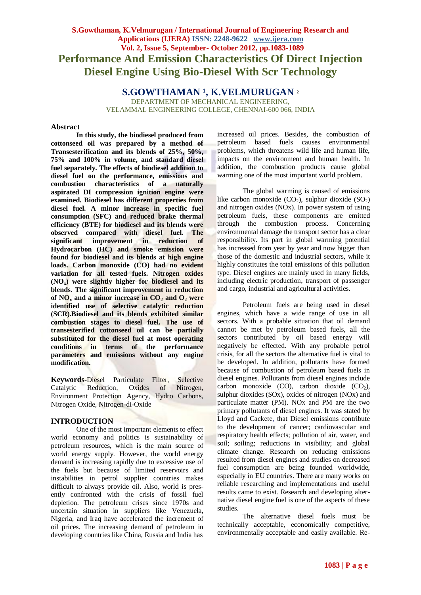# **S.Gowthaman, K.Velmurugan / International Journal of Engineering Research and Applications (IJERA) ISSN: 2248-9622 www.ijera.com Vol. 2, Issue 5, September- October 2012, pp.1083-1089 Performance And Emission Characteristics Of Direct Injection Diesel Engine Using Bio-Diesel With Scr Technology**

**S.GOWTHAMAN <sup>1</sup>, K.VELMURUGAN <sup>2</sup>** 

DEPARTMENT OF MECHANICAL ENGINEERING, VELAMMAL ENGINEERING COLLEGE, CHENNAI-600 066, INDIA

# **Abstract**

**In this study, the biodiesel produced from cottonseed oil was prepared by a method of Transesterification and its blends of 25%, 50%, 75% and 100% in volume, and standard diesel fuel separately. The effects of biodiesel addition to diesel fuel on the performance, emissions and combustion characteristics of a naturally aspirated DI compression ignition engine were examined. Biodiesel has different properties from diesel fuel. A minor increase in specific fuel consumption (SFC) and reduced brake thermal efficiency (BTE) for biodiesel and its blends were observed compared with diesel fuel. The significant improvement in reduction of Hydrocarbon (HC) and smoke emission were found for biodiesel and its blends at high engine loads. Carbon monoxide (CO) had no evident variation for all tested fuels. Nitrogen oxides (NOx) were slightly higher for biodiesel and its blends. The significant improvement in reduction**  of  $NO_x$  and a minor increase in  $CO_2$  and  $O_2$  were **identified use of selective catalytic reduction (SCR).Biodiesel and its blends exhibited similar combustion stages to diesel fuel. The use of transesterified cottonseed oil can be partially substituted for the diesel fuel at most operating conditions in terms of the performance parameters and emissions without any engine modification.**

**Keywords-**Diesel Particulate Filter, Selective Catalytic Reduction, Oxides of Nitrogen, Environment Protection Agency, Hydro Carbons, Nitrogen Oxide, Nitrogen-di-Oxide

# **INTRODUCTION**

One of the most important elements to effect world economy and politics is sustainability of petroleum resources, which is the main source of world energy supply. However, the world energy demand is increasing rapidly due to excessive use of the fuels but because of limited reservoirs and instabilities in petrol supplier countries makes difficult to always provide oil. Also, world is presently confronted with the crisis of fossil fuel depletion. The petroleum crises since 1970s and uncertain situation in suppliers like Venezuela, Nigeria, and Iraq have accelerated the increment of oil prices. The increasing demand of petroleum in developing countries like China, Russia and India has

increased oil prices. Besides, the combustion of petroleum based fuels causes environmental problems, which threatens wild life and human life, impacts on the environment and human health. In addition, the combustion products cause global warming one of the most important world problem.

The global warming is caused of emissions like carbon monoxide  $(CO<sub>2</sub>)$ , sulphur dioxide  $(SO<sub>2</sub>)$ and nitrogen oxides (NOx). In power system of using petroleum fuels, these components are emitted through the combustion process. Concerning environmental damage the transport sector has a clear responsibility. Its part in global warming potential has increased from year by year and now bigger than those of the domestic and industrial sectors, while it highly constitutes the total emissions of this pollution type. Diesel engines are mainly used in many fields, including electric production, transport of passenger and cargo, industrial and agricultural activities.

Petroleum fuels are being used in diesel engines, which have a wide range of use in all sectors. With a probable situation that oil demand cannot be met by petroleum based fuels, all the sectors contributed by oil based energy will negatively be effected. With any probable petrol crisis, for all the sectors the alternative fuel is vital to be developed. In addition, pollutants have formed because of combustion of petroleum based fuels in diesel engines. Pollutants from diesel engines include carbon monoxide (CO), carbon dioxide  $(CO_2)$ , sulphur dioxides (SOx), oxides of nitrogen (NOx) and particulate matter (PM). NOx and PM are the two primary pollutants of diesel engines. It was stated by Lloyd and Cackete, that Diesel emissions contribute to the development of cancer; cardiovascular and respiratory health effects; pollution of air, water, and soil; soiling; reductions in visibility; and global climate change. Research on reducing emissions resulted from diesel engines and studies on decreased fuel consumption are being founded worldwide, especially in EU countries. There are many works on reliable researching and implementations and useful results came to exist. Research and developing alternative diesel engine fuel is one of the aspects of these studies.

The alternative diesel fuels must be technically acceptable, economically competitive, environmentally acceptable and easily available. Re-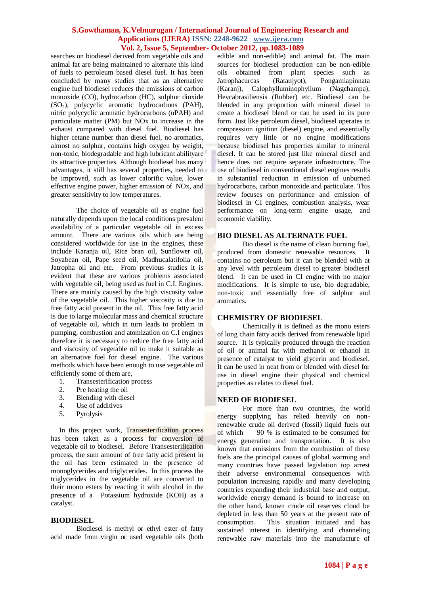searches on biodiesel derived from vegetable oils and animal fat are being maintained to alternate this kind of fuels to petroleum based diesel fuel. It has been concluded by many studies that as an alternative engine fuel biodiesel reduces the emissions of carbon monoxide (CO), hydrocarbon (HC), sulphur dioxide  $(SO<sub>2</sub>)$ , polycyclic aromatic hydrocarbons (PAH), nitric polycyclic aromatic hydrocarbons (nPAH) and particulate matter (PM) but NOx to increase in the exhaust compared with diesel fuel. Biodiesel has higher cetane number than diesel fuel, no aromatics, almost no sulphur, contains high oxygen by weight, non-toxic, biodegradable and high lubricant abilityare its attractive properties. Although biodiesel has many advantages, it still has several properties, needed to be improved, such as lower calorific value, lower effective engine power, higher emission of NOx, and greater sensitivity to low temperatures.

The choice of vegetable oil as engine fuel naturally depends upon the local conditions prevalent availability of a particular vegetable oil in excess amount. There are various oils which are being considered worldwide for use in the engines, these include Karanja oil, Rice bran oil, Sunflower oil, Soyabean oil, Pape seed oil, Madhucalatifolia oil, Jatropha oil and etc. From previous studies it is evident that these are various problems associated with vegetable oil, being used as fuel in C.I. Engines. There are mainly caused by the high viscosity value of the vegetable oil. This higher viscosity is due to free fatty acid present in the oil. This free fatty acid is due to large molecular mass and chemical structure of vegetable oil, which in turn leads to problem in pumping, combustion and atomization on C.I engines therefore it is necessary to reduce the free fatty acid and viscosity of vegetable oil to make it suitable as an alternative fuel for diesel engine. The various methods which have been enough to use vegetable oil efficiently some of them are,

- 1. Transesterification process<br>2. Pre heating the oil
- Pre heating the oil
- 3. Blending with diesel
- 4. Use of additives
- 5. Pyrolysis

In this project work, Transesterification process has been taken as a process for conversion of vegetable oil to biodiesel. Before Transesterification process, the sum amount of free fatty acid present in the oil has been estimated in the presence of monoglycerides and triglycerides. In this process the triglycerides in the vegetable oil are converted to their mono esters by reacting it with alcohol in the presence of a Potassium hydroxide (KOH) as a catalyst.

#### **BIODIESEL**

Biodiesel is methyl or ethyl ester of fatty acid made from virgin or used vegetable oils (both edible and non-edible) and animal fat. The main sources for biodiesel production can be non-edible oils obtained from plant species such as Jatrophacurcas (Ratanjyot), Pongamiapinnata (Karanj), Calophylluminophyllum (Nagchampa), Hevcabrasiliensis (Rubber) etc. Biodiesel can be blended in any proportion with mineral diesel to create a biodiesel blend or can be used in its pure form. Just like petroleum diesel, biodiesel operates in compression ignition (diesel) engine, and essentially requires very little or no engine modifications because biodiesel has properties similar to mineral diesel. It can be stored just like mineral diesel and hence does not require separate infrastructure. The use of biodiesel in conventional diesel engines results in substantial reduction in emission of unburned hydrocarbons, carbon monoxide and particulate. This review focuses on performance and emission of biodiesel in CI engines, combustion analysis, wear performance on long-term engine usage, and economic viability.

# **BIO DIESEL AS ALTERNATE FUEL**

Bio diesel is the name of clean burning fuel, produced from domestic renewable resources. It contains no petroleum but it can be blended with at any level with petroleum diesel to greater biodiesel blend. It can be used in CI engine with no major modifications. It is simple to use, bio degradable, non-toxic and essentially free of sulphur and aromatics.

#### **CHEMISTRY OF BIODIESEL**

Chemically it is defined as the mono esters of long chain fatty acids derived from renewable lipid source. It is typically produced through the reaction of oil or animal fat with methanol or ethanol in presence of catalyst to yield glycerin and biodiesel. It can be used in neat from or blended with diesel for use in diesel engine their physical and chemical properties as relates to diesel fuel.

# **NEED OF BIODIESEL**

For more than two countries, the world energy supplying has relied heavily on nonrenewable crude oil derived (fossil) liquid fuels out of which 90 % is estimated to be consumed for energy generation and transportation. It is also known that emissions from the combustion of these fuels are the principal causes of global warming and many countries have passed legislation top arrest their adverse environmental consequences with population increasing rapidly and many developing countries expanding their industrial base and output, worldwide energy demand is bound to increase on the other hand, known crude oil reserves cloud be depleted in less than 50 years at the present rate of consumption. This situation initiated and has sustained interest in identifying and channeling renewable raw materials into the manufacture of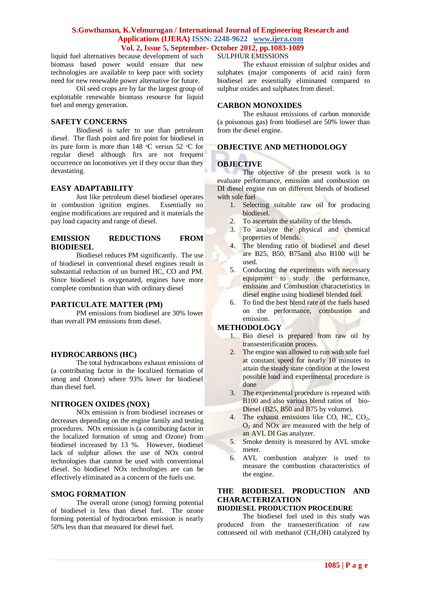liquid fuel alternatives because development of such biomass based power would ensure that new technologies are available to keep pace with society need for new renewable power alternative for future.

Oil seed crops are by far the largest group of exploitable renewable biomass resource for liquid fuel and energy generation.

# **SAFETY CONCERNS**

Biodiesel is safer to use than petroleum diesel. The flash point and fire point for biodiesel in its pure form is more than  $148^{\circ}$ C versus 52  $^{\circ}$ C for regular diesel although firs are not frequent occurrence on locomotives yet if they occur than they devastating.

# **EASY ADAPTABILITY**

Just like petroleum diesel biodiesel operates in combustion ignition engines. Essentially no engine modifications are required and it materials the pay load capacity and range of diesel.

#### **EMISSION REDUCTIONS FROM BIODIESEL**

Biodiesel reduces PM significantly. The use of biodiesel in conventional diesel engines result in substantial reduction of un burned HC, CO and PM. Since biodiesel is oxygenated, engines have more complete combustion than with ordinary diesel

#### **PARTICULATE MATTER (PM)**

PM emissions from biodiesel are 30% lower than overall PM emissions from diesel.

# **HYDROCARBONS (HC)**

The total hydrocarbons exhaust emissions of (a contributing factor in the localized formation of smog and Ozone) where 93% lower for biodiesel than diesel fuel.

#### **NITROGEN OXIDES (NOX)**

NOx emission is from biodiesel increases or decreases depending on the engine family and testing procedures. NOx emission is (a contributing factor in the localized formation of smog and Ozone) from biodiesel increased by 13 %. However, biodiesel lack of sulphur allows the use of NOx control technologies that cannot be used with conventional diesel. So biodiesel NOx technologies are can be effectively eliminated as a concern of the fuels use.

# **SMOG FORMATION**

The overall ozone (smog) forming potential of biodiesel is less than diesel fuel. The ozone forming potential of hydrocarbon emission is nearly 50% less than that measured for diesel fuel.

# SULPHUR EMISSIONS

The exhaust emission of sulphur oxides and sulphates (major components of acid rain) form biodiesel are essentially eliminated compared to sulphur oxides and sulphates from diesel.

# **CARBON MONOXIDES**

The exhaust emissions of carbon monoxide (a poisonous gas) from biodiesel are 50% lower than from the diesel engine.

# **OBJECTIVE AND METHODOLOGY**

#### **OBJECTIVE**

The objective of the present work is to evaluate performance, emission and combustion on DI diesel engine run on different blends of biodiesel with sole fuel

- 1. Selecting suitable raw oil for producing biodiesel.
- 2. To ascertain the stability of the blends.
- 3. To analyze the physical and chemical properties of blends.
- 4. The blending ratio of biodiesel and diesel are B25, B50, B75and also B100 will be used.
- 5. Conducting the experiments with necessary equipment to study the performance, emission and Combustion characteristics in diesel engine using biodiesel blended fuel.
- 6. To find the best blend rate of the fuels based on the performance, combustion and emission.

#### **METHODOLOGY**

- 1. Bio diesel is prepared from raw oil by transesterification process.
- 2. The engine was allowed to run with sole fuel at constant speed for nearly 10 minutes to attain the steady state condition at the lowest possible load and experimental procedure is done
- 3. The experimental procedure is repeated with B100 and also various blend ratios of bio-Diesel (B25, B50 and B75 by volume).
- 4. The exhaust emissions like CO, HC, CO<sub>2</sub>,  $O<sub>2</sub>$  and NO<sub>x</sub> are measured with the help of an AVL DI Gas analyzer.
- 5. Smoke density is measured by AVL smoke meter.
- 6. AVL combustion analyzer is used to measure the combustion characteristics of the engine.

# **THE BIODIESEL PRODUCTION AND CHARACTERIZATION**

# **BIODIESEL PRODUCTION PROCEDURE**

The biodiesel fuel used in this study was produced from the transesterification of raw cottonseed oil with methanol  $(CH<sub>3</sub>OH)$  catalyzed by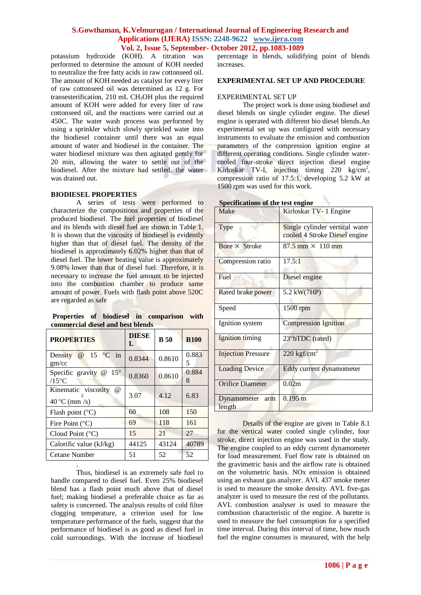potassium hydroxide (KOH). A titration was performed to determine the amount of KOH needed to neutralize the free fatty acids in raw cottonseed oil. The amount of KOH needed as catalyst for every liter of raw cottonseed oil was determined as 12 g. For transesterification, 210 mL CH3OH plus the required amount of KOH were added for every liter of raw cottonseed oil, and the reactions were carried out at 450C. The water wash process was performed by using a sprinkler which slowly sprinkled water into the biodiesel container until there was an equal amount of water and biodiesel in the container. The water biodiesel mixture was then agitated gently for 20 min, allowing the water to settle out of the biodiesel. After the mixture had settled, the water was drained out.

#### **BIODIESEL PROPERTIES**

A series of tests were performed to characterize the compositions and properties of the produced biodiesel. The fuel properties of biodiesel and its blends with diesel fuel are shown in Table 1. It is shown that the viscosity of biodiesel is evidently higher than that of diesel fuel. The density of the biodiesel is approximately 6.02% higher than that of diesel fuel. The lower heating value is approximately 9.08% lower than that of diesel fuel. Therefore, it is necessary to increase the fuel amount to be injected into the combustion chamber to produce same amount of power. Fuels with flash point above 520C are regarded as safe

**Properties of biodiesel in comparison with commercial diesel and best blends** 

| <b>PROPERTIES</b>                                                  | <b>DIESE</b><br>L | <b>B</b> 50 | <b>B100</b> |
|--------------------------------------------------------------------|-------------------|-------------|-------------|
| @ 15 °C in<br>Density<br>gm/cc                                     | 0.8344            | 0.8610      | 0.883<br>5  |
| $15^{\circ}$<br>Specific gravity<br>$^{\omega}$<br>$/15^{\circ}$ C | 0.8360            | 0.8610      | 0.884<br>8  |
| Kinematic viscosity<br>$\omega$<br>40 °C (mm $/s$ )                | 3.07              | 4.12        | 6.83        |
| Flash point $(^{\circ}C)$                                          | 60                | 108         | 150         |
| Fire Point $(^{\circ}C)$                                           | 69                | 118         | 161         |
| Cloud Point $(^{\circ}C)$                                          | 15                | 21          | 27          |
| Calorific value (kJ/kg)                                            | 44125             | 43124       | 40789       |
| Cetane Number                                                      | 51                | 52          | 52          |
|                                                                    |                   |             |             |

Thus, biodiesel is an extremely safe fuel to handle compared to diesel fuel. Even 25% biodiesel blend has a flash point much above that of diesel fuel; making biodiesel a preferable choice as far as safety is concerned. The analysis results of cold filter clogging temperature, a criterion used for low temperature performance of the fuels, suggest that the performance of biodiesel is as good as diesel fuel in cold surroundings. With the increase of biodiesel

percentage in blends, solidifying point of blends increases.

#### **EXPERIMENTAL SET UP AND PROCEDURE**

#### EXPERIMENTAL SET UP

The project work is done using biodiesel and diesel blends on single cylinder engine. The diesel engine is operated with different bio diesel blends.An experimental set up was configured with necessary instruments to evaluate the emission and combustion parameters of the compression ignition engine at different operating conditions. Single cylinder watercooled four-stroke direct injection diesel engine Kirloskar TV-I, injection timing 220 kg/cm<sup>2</sup>, compression ratio of 17.5:1, developing 5.2 kW at 1500 rpm was used for this work.

| <b>Specifications of the test engine</b> |                                                                 |  |  |
|------------------------------------------|-----------------------------------------------------------------|--|--|
| Make                                     | Kirloskar TV-1 Engine                                           |  |  |
| Type                                     | Single cylinder vertical water<br>cooled 4 Stroke Diesel engine |  |  |
| Bore × Stroke                            | $87.5$ mm $\times$ 110 mm                                       |  |  |
| Compression ratio                        | 17.5:1                                                          |  |  |
| Fuel                                     | Diesel engine                                                   |  |  |
| Rated brake power                        | 5.2 kW(7HP)                                                     |  |  |
| Speed                                    | 1500 rpm                                                        |  |  |
| Ignition system                          | <b>Compression Ignition</b>                                     |  |  |
| Ignition timing                          | 23°bTDC (rated)                                                 |  |  |
| <b>Injection Pressure</b>                | 220 kgf/cm <sup>2</sup>                                         |  |  |
| <b>Loading Device</b>                    | Eddy current dynamometer                                        |  |  |
| <b>Orifice Diameter</b>                  | 0.02m                                                           |  |  |
| Dynamometer<br>arm<br>length             | $0.195 \text{ m}$                                               |  |  |

Details of the engine are given in Table 8.1 for the vertical water cooled single cylinder, four stroke, direct injection engine was used in the study. The engine coupled to an eddy current dynamometer for load measurement. Fuel flow rate is obtained on the gravimetric basis and the airflow rate is obtained on the volumetric basis. NOx emission is obtained using an exhaust gas analyzer. AVL 437 smoke meter is used to measure the smoke density. AVL five-gas analyzer is used to measure the rest of the pollutants. AVL combustion analyser is used to measure the combustion characteristic of the engine. A burette is used to measure the fuel consumption for a specified time interval. During this interval of time, how much fuel the engine consumes is measured, with the help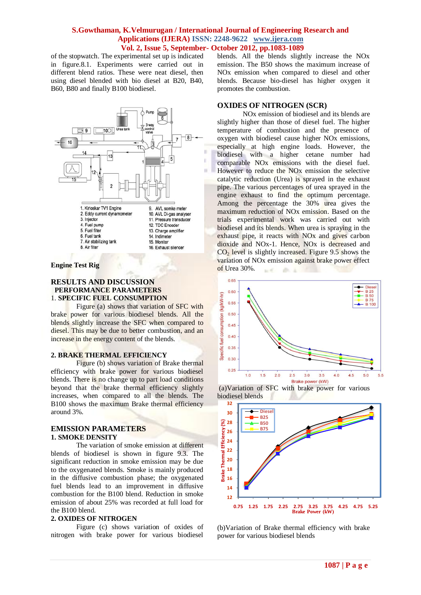of the stopwatch. The experimental set up is indicated in figure.8.1. Experiments were carried out in different blend ratios. These were neat diesel, then using diesel blended with bio diesel at B20, B40, B60, B80 and finally B100 biodiesel.



#### **Engine Test Rig**

#### **RESULTS AND DISCUSSION PERFORMANCE PARAMETERS** 1. **SPECIFIC FUEL CONSUMPTION**

Figure (a) shows that variation of SFC with brake power for various biodiesel blends. All the blends slightly increase the SFC when compared to diesel. This may be due to better combustion, and an increase in the energy content of the blends.

#### **2. BRAKE THERMAL EFFICIENCY**

Figure (b) shows variation of Brake thermal efficiency with brake power for various biodiesel blends. There is no change up to part load conditions beyond that the brake thermal efficiency slightly increases, when compared to all the blends. The B100 shows the maximum Brake thermal efficiency around 3%.

#### **EMISSION PARAMETERS 1. SMOKE DENSITY**

The variation of smoke emission at different blends of biodiesel is shown in figure 9.3. The significant reduction in smoke emission may be due to the oxygenated blends. Smoke is mainly produced in the diffusive combustion phase; the oxygenated fuel blends lead to an improvement in diffusive combustion for the B100 blend. Reduction in smoke emission of about 25% was recorded at full load for the B100 blend.

#### **2. OXIDES OF NITROGEN**

Figure (c) shows variation of oxides of nitrogen with brake power for various biodiesel blends. All the blends slightly increase the NOx emission. The B50 shows the maximum increase of NOx emission when compared to diesel and other blends. Because bio-diesel has higher oxygen it promotes the combustion.

# **OXIDES OF NITROGEN (SCR)**

NOx emission of biodiesel and its blends are slightly higher than those of diesel fuel. The higher temperature of combustion and the presence of oxygen with biodiesel cause higher NOx emissions, especially at high engine loads. However, the biodiesel with a higher cetane number had comparable NOx emissions with the diesel fuel. However to reduce the NOx emission the selective catalytic reduction (Urea) is sprayed in the exhaust pipe. The various percentages of urea sprayed in the engine exhaust to find the optimum percentage. Among the percentage the 30% urea gives the maximum reduction of NOx emission. Based on the trials experimental work was carried out with biodiesel and its blends. When urea is spraying in the exhaust pipe, it reacts with NOx and gives carbon dioxide and NOx-1. Hence, NOx is decreased and  $CO<sub>2</sub>$  level is slightly increased. Figure 9.5 shows the variation of NOx emission against brake power effect of Urea 30%.  $\sim$  $25 - 3$ 







(b)Variation of Brake thermal efficiency with brake power for various biodiesel blends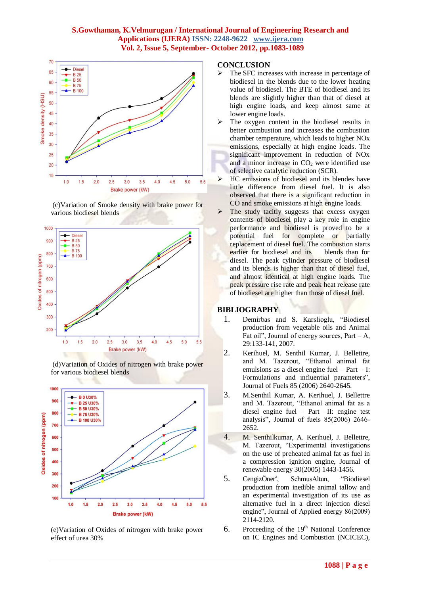

(c)Variation of Smoke density with brake power for various biodiesel blends







(e)Variation of Oxides of nitrogen with brake power effect of urea 30%

# **CONCLUSION**

- The SFC increases with increase in percentage of biodiesel in the blends due to the lower heating value of biodiesel. The BTE of biodiesel and its blends are slightly higher than that of diesel at high engine loads, and keep almost same at lower engine loads.
- The oxygen content in the biodiesel results in better combustion and increases the combustion chamber temperature, which leads to higher NOx emissions, especially at high engine loads. The significant improvement in reduction of NOx and a minor increase in  $CO<sub>2</sub>$  were identified use of selective catalytic reduction (SCR).
- $\triangleright$  HC emissions of biodiesel and its blendes have little difference from diesel fuel. It is also observed that there is a significant reduction in CO and smoke emissions at high engine loads.
- The study tacitly suggests that excess oxygen contents of biodiesel play a key role in engine performance and biodiesel is proved to be a potential fuel for complete or partially replacement of diesel fuel. The combustion starts earlier for biodiesel and its blends than for diesel. The peak cylinder pressure of biodiesel and its blends is higher than that of diesel fuel, and almost identical at high engine loads. The peak pressure rise rate and peak heat release rate of biodiesel are higher than those of diesel fuel.

# **BIBLIOGRAPHY**

- 1. Demirbas and S. Karslioglu, "Biodiesel production from vegetable oils and Animal Fat oil", Journal of energy sources,  $Part - A$ , 29:133-141, 2007.
- 2. Kerihuel, M. Senthil Kumar, J. Bellettre, and M. Tazerout, "Ethanol animal fat emulsions as a diesel engine fuel – Part – I: Formulations and influential parameters", Journal of Fuels 85 (2006) 2640-2645.
- 3. M.Senthil Kumar, A. Kerihuel, J. Bellettre and M. Tazerout, "Ethanol animal fat as a diesel engine fuel – Part –II: engine test analysis", Journal of fuels 85(2006) 2646- 2652.
- 4. M. Senthilkumar, A. Kerihuel, J. Bellettre, M. Tazerout, "Experimental investigations on the use of preheated animal fat as fuel in a compression ignition engine, Journal of renewable energy 30(2005) 1443-1456.
- 5. CengizÖner<sup>a</sup>, , SehmusAltun, "Biodiesel production from inedible animal tallow and an experimental investigation of its use as alternative fuel in a direct injection diesel engine", Journal of Applied energy 86(2009) 2114-2120.
- 6. Proceeding of the  $19<sup>th</sup>$  National Conference on IC Engines and Combustion (NCICEC),